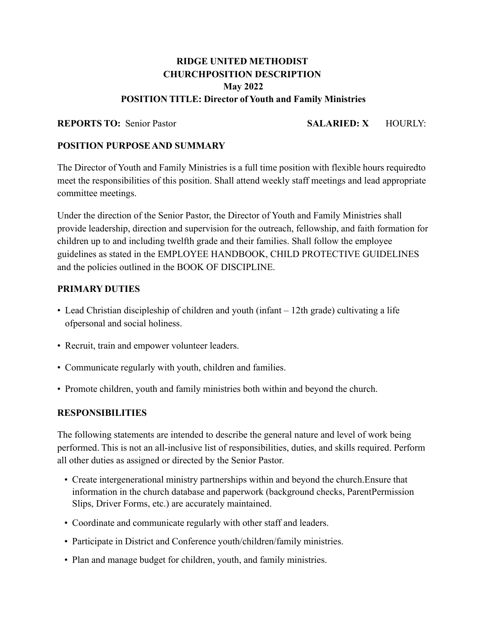# **RIDGE UNITED METHODIST CHURCHPOSITION DESCRIPTION May 2022 POSITION TITLE: Director of Youth and Family Ministries**

### **REPORTS TO:** Senior Pastor **SALARIED: X** HOURLY:

#### **POSITION PURPOSEAND SUMMARY**

The Director of Youth and Family Ministries is a full time position with flexible hours requiredto meet the responsibilities of this position. Shall attend weekly staff meetings and lead appropriate committee meetings.

Under the direction of the Senior Pastor, the Director of Youth and Family Ministries shall provide leadership, direction and supervision for the outreach, fellowship, and faith formation for children up to and including twelfth grade and their families. Shall follow the employee guidelines as stated in the EMPLOYEE HANDBOOK, CHILD PROTECTIVE GUIDELINES and the policies outlined in the BOOK OF DISCIPLINE.

#### **PRIMARY DUTIES**

- Lead Christian discipleship of children and youth (infant 12th grade) cultivating a life ofpersonal and social holiness.
- Recruit, train and empower volunteer leaders.
- Communicate regularly with youth, children and families.
- Promote children, youth and family ministries both within and beyond the church.

#### **RESPONSIBILITIES**

The following statements are intended to describe the general nature and level of work being performed. This is not an all-inclusive list of responsibilities, duties, and skills required. Perform all other duties as assigned or directed by the Senior Pastor.

- Create intergenerational ministry partnerships within and beyond the church.Ensure that information in the church database and paperwork (background checks, ParentPermission Slips, Driver Forms, etc.) are accurately maintained.
- Coordinate and communicate regularly with other staff and leaders.
- Participate in District and Conference youth/children/family ministries.
- Plan and manage budget for children, youth, and family ministries.